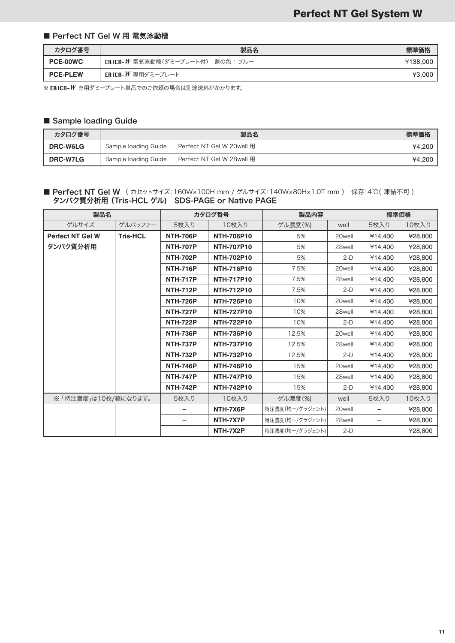#### ■ Perfect NT Gel W 用 電気泳動槽

| カタログ番号          | 製品名                               | 標準価格     |
|-----------------|-----------------------------------|----------|
| <b>PCE-00WC</b> | ERICA-W 電気泳動槽(ダミープレート付) 蓋の色 : ブルー | ¥138,000 |
| <b>PCE-PLEW</b> | ERICA-W 専用ダミープレート                 | ¥3,000   |

※ ERICA- $W$  専用ダミープレート単品でのご依頼の場合は別途送料がかかります。

### ■ Sample loading Guide

| カタログ番号          |                      | 製品名                       | 標準価格   |
|-----------------|----------------------|---------------------------|--------|
| <b>DRC-W6LG</b> | Sample loading Guide | Perfect NT Gel W 20well 用 | ¥4.200 |
| <b>DRC-W7LG</b> | Sample loading Guide | Perfect NT Gel W 28well 用 | ¥4.200 |

#### ■ Perfect NT Gel W (カセットサイズ:160W×100H mm / ゲルサイズ:140W×80H×1.0T mm) 保存:4℃(凍結不可) タンパク質分析用(Tris-HCL ゲル) SDS-PAGE or Native PAGE

| 製品名                     |                 | カタログ番号          |                   | 製品内容            |                    | 標準価格              |         |
|-------------------------|-----------------|-----------------|-------------------|-----------------|--------------------|-------------------|---------|
| ゲルサイズ                   | ゲルバッファー         | 5枚入り            | 10枚入り             | ゲル濃度(%)         | well               | 5枚入り              | 10枚入り   |
| <b>Perfect NT Gel W</b> | <b>Tris-HCL</b> | <b>NTH-706P</b> | <b>NTH-706P10</b> | 5%              | 20well             | ¥14,400           | ¥28,800 |
| タンパク質分析用                |                 | <b>NTH-707P</b> | <b>NTH-707P10</b> | 5%              | 28well             | ¥14.400           | ¥28,800 |
|                         |                 | <b>NTH-702P</b> | <b>NTH-702P10</b> | 5%              | $2-D$              | ¥14.400           | ¥28,800 |
|                         |                 | <b>NTH-716P</b> | <b>NTH-716P10</b> | 7.5%            | 20well             | ¥14,400           | ¥28,800 |
|                         |                 | <b>NTH-717P</b> | <b>NTH-717P10</b> | 7.5%            | 28well             | ¥14,400           | ¥28,800 |
|                         |                 | <b>NTH-712P</b> | <b>NTH-712P10</b> | 7.5%            | $2-D$              | ¥14,400           | ¥28,800 |
|                         |                 | <b>NTH-726P</b> | <b>NTH-726P10</b> | 10%             | 20well             | ¥14,400           | ¥28,800 |
|                         |                 | <b>NTH-727P</b> | <b>NTH-727P10</b> | 10%             | 28well             | ¥14,400           | ¥28,800 |
|                         |                 | <b>NTH-722P</b> | <b>NTH-722P10</b> | 10%             | $2-D$              | ¥14.400           | ¥28,800 |
|                         |                 | <b>NTH-736P</b> | <b>NTH-736P10</b> | 12.5%           | 20well             | ¥14,400           | ¥28,800 |
|                         |                 | <b>NTH-737P</b> | <b>NTH-737P10</b> | 12.5%           | 28well             | ¥14,400           | ¥28,800 |
|                         |                 | <b>NTH-732P</b> | <b>NTH-732P10</b> | 12.5%           | $2-D$              | ¥14,400           | ¥28,800 |
|                         |                 | <b>NTH-746P</b> | <b>NTH-746P10</b> | 15%             | 20well             | ¥14.400           | ¥28,800 |
|                         |                 | <b>NTH-747P</b> | <b>NTH-747P10</b> | 15%             | 28well             | ¥14,400           | ¥28,800 |
|                         |                 | <b>NTH-742P</b> | <b>NTH-742P10</b> | 15%             | $2-D$              | ¥14,400           | ¥28,800 |
| ※ 「特注濃度」は10枚/箱になります。    |                 | 5枚入り            | 10枚入り             | ゲル濃度(%)         | well               | 5枚入り              | 10枚入り   |
|                         |                 |                 | NTH-7X6P          | 特注濃度(均一/グラジェント) | 20 <sub>well</sub> |                   | ¥28,800 |
|                         |                 |                 | NTH-7X7P          | 特注濃度(均一/グラジェント) | 28well             |                   | ¥28,800 |
|                         |                 |                 | NTH-7X2P          | 特注濃度(均一/グラジェント) | $2-D$              | $\qquad \qquad -$ | ¥28,800 |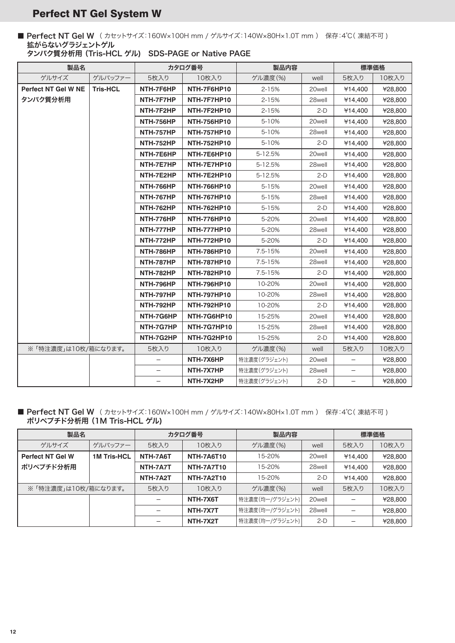# Perfect NT Gel System W

■ Perfect NT Gel W (カセットサイズ:160W×100H mm / ゲルサイズ:140W×80H×1.0T mm) 保存:4℃(凍結不可) 拡がらないグラジェントゲル

| 製品名                        |                     | カタログ番号           |                    | 製品内容         |        | 標準価格              |         |
|----------------------------|---------------------|------------------|--------------------|--------------|--------|-------------------|---------|
| ゲルサイズ                      | ゲルバッファー             | 5枚入り             | 10枚入り              | ゲル濃度(%)      | well   | 5枚入り              | 10枚入り   |
| <b>Perfect NT Gel W NE</b> | <b>Tris-HCL</b>     | NTH-7F6HP        | NTH-7F6HP10        | $2 - 15%$    | 20well | ¥14,400           | ¥28,800 |
| タンパク質分析用                   |                     | NTH-7F7HP        | NTH-7F7HP10        | $2 - 15%$    | 28well | ¥14,400           | ¥28,800 |
|                            |                     | NTH-7F2HP        | NTH-7F2HP10        | 2-15%        | $2-D$  | ¥14,400           | ¥28,800 |
|                            |                     | <b>NTH-756HP</b> | <b>NTH-756HP10</b> | $5 - 10%$    | 20well | ¥14,400           | ¥28,800 |
|                            |                     | NTH-757HP        | <b>NTH-757HP10</b> | 5-10%        | 28well | ¥14,400           | ¥28,800 |
|                            |                     | <b>NTH-752HP</b> | <b>NTH-752HP10</b> | 5-10%        | $2-D$  | ¥14,400           | ¥28,800 |
|                            |                     | NTH-7E6HP        | NTH-7E6HP10        | 5-12.5%      | 20well | ¥14,400           | ¥28,800 |
|                            |                     | NTH-7E7HP        | NTH-7E7HP10        | 5-12.5%      | 28well | ¥14,400           | ¥28,800 |
|                            |                     | NTH-7E2HP        | NTH-7E2HP10        | 5-12.5%      | $2-D$  | ¥14,400           | ¥28,800 |
|                            |                     | <b>NTH-766HP</b> | <b>NTH-766HP10</b> | 5-15%        | 20well | ¥14,400           | ¥28,800 |
|                            |                     | NTH-767HP        | <b>NTH-767HP10</b> | 5-15%        | 28well | ¥14,400           | ¥28,800 |
|                            |                     | <b>NTH-762HP</b> | <b>NTH-762HP10</b> | 5-15%        | $2-D$  | ¥14,400           | ¥28,800 |
|                            |                     | NTH-776HP        | <b>NTH-776HP10</b> | 5-20%        | 20well | ¥14,400           | ¥28,800 |
|                            |                     | NTH-777HP        | <b>NTH-777HP10</b> | 5-20%        | 28well | ¥14,400           | ¥28,800 |
|                            |                     | NTH-772HP        | <b>NTH-772HP10</b> | 5-20%        | $2-D$  | ¥14,400           | ¥28,800 |
|                            |                     | <b>NTH-786HP</b> | <b>NTH-786HP10</b> | 7.5-15%      | 20well | ¥14,400           | ¥28,800 |
|                            |                     | NTH-787HP        | <b>NTH-787HP10</b> | 7.5-15%      | 28well | ¥14,400           | ¥28,800 |
|                            |                     | <b>NTH-782HP</b> | <b>NTH-782HP10</b> | 7.5-15%      | $2-D$  | ¥14,400           | ¥28,800 |
|                            |                     | NTH-796HP        | <b>NTH-796HP10</b> | 10-20%       | 20well | ¥14,400           | ¥28,800 |
|                            |                     | NTH-797HP        | <b>NTH-797HP10</b> | 10-20%       | 28well | ¥14,400           | ¥28,800 |
|                            |                     | NTH-792HP        | <b>NTH-792HP10</b> | 10-20%       | $2-D$  | ¥14,400           | ¥28,800 |
|                            |                     | NTH-7G6HP        | NTH-7G6HP10        | 15-25%       | 20well | ¥14.400           | ¥28,800 |
|                            |                     | NTH-7G7HP        | NTH-7G7HP10        | 15-25%       | 28well | ¥14,400           | ¥28,800 |
|                            |                     | NTH-7G2HP        | NTH-7G2HP10        | 15-25%       | $2-D$  | ¥14,400           | ¥28,800 |
|                            | ※「特注濃度」は10枚/箱になります。 |                  | 10枚入り              | ゲル濃度(%)      | well   | 5枚入り              | 10枚入り   |
|                            |                     |                  | NTH-7X6HP          | 特注濃度(グラジェント) | 20well | $\qquad \qquad -$ | ¥28,800 |
|                            |                     |                  | NTH-7X7HP          | 特注濃度(グラジェント) | 28well |                   | ¥28,800 |
|                            |                     |                  | NTH-7X2HP          | 特注濃度(グラジェント) | $2-D$  | $\equiv$          | ¥28,800 |

## ■ Perfect NT Gel W (カセットサイズ:160W×100H mm / ゲルサイズ:140W×80H×1.0T mm) 保存:4℃(凍結不可) ポリペプチド分析用 (1M Tris-HCL ゲル)

| 製品名                     |                    | カタログ番号   |                   | 製品内容            |        | 標準価格    |         |
|-------------------------|--------------------|----------|-------------------|-----------------|--------|---------|---------|
| ゲルサイズ                   | ゲルバッファー            | 5枚入り     | 10枚入り             | ゲル濃度(%)         | well   | 5枚入り    | 10枚入り   |
| <b>Perfect NT Gel W</b> | <b>1M Tris-HCL</b> | NTH-7A6T | <b>NTH-7A6T10</b> | 15-20%          | 20well | ¥14.400 | ¥28,800 |
| ポリペプチド分析用               |                    | NTH-7A7T | <b>NTH-7A7T10</b> | 15-20%          | 28well | ¥14.400 | ¥28,800 |
|                         |                    | NTH-7A2T | <b>NTH-7A2T10</b> | 15-20%          | $2-D$  | ¥14,400 | ¥28,800 |
| ※「特注濃度」は10枚/箱になります。     |                    | 5枚入り     | 10枚入り             | ゲル濃度(%)         | well   | 5枚入り    | 10枚入り   |
|                         |                    |          | NTH-7X6T          | 特注濃度(均一/グラジェント) | 20well |         | ¥28,800 |
|                         |                    |          | NTH-7X7T          | 特注濃度(均一/グラジェント) | 28well |         | ¥28,800 |
|                         |                    |          | NTH-7X2T          | 特注濃度(均一/グラジェント) | $2-D$  |         | ¥28,800 |